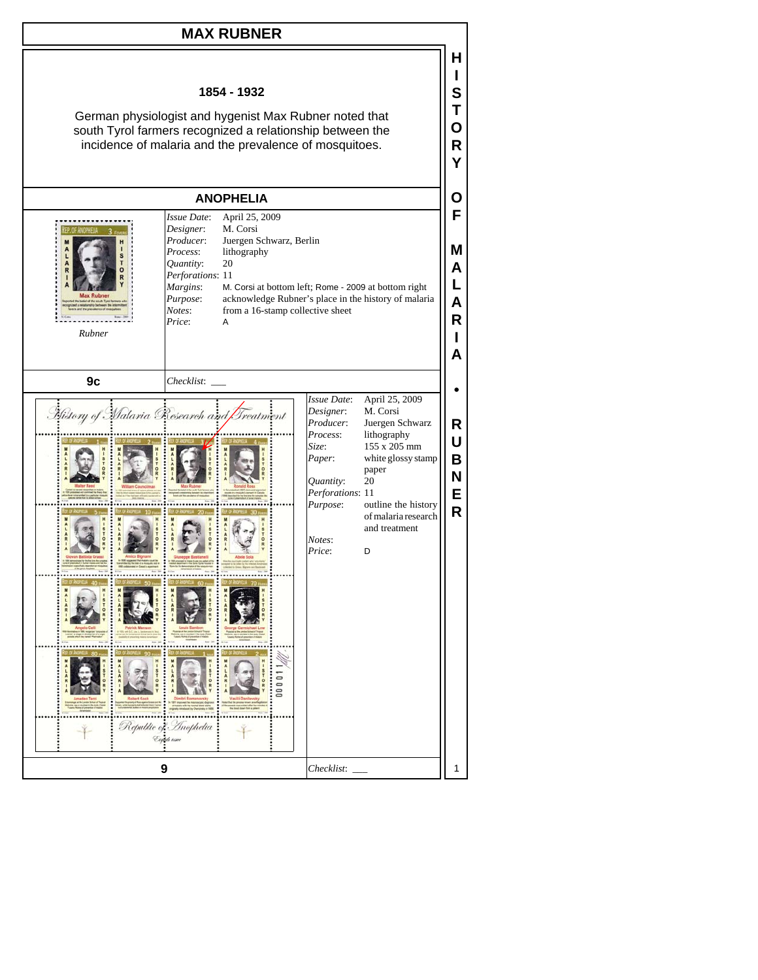